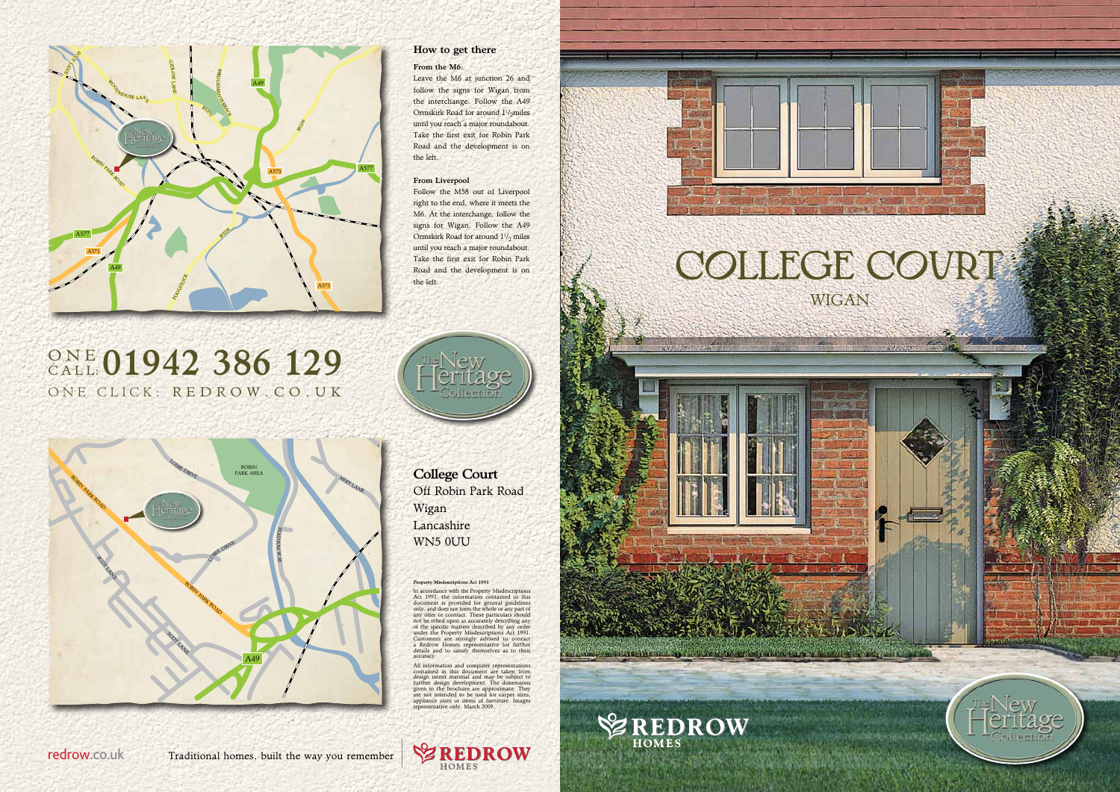#### Property Misdescriptions Act 1991

In accordance with the Property Misdescriptions<br>Act 1991, the information contained in this<br>document is provided for general guidelines<br>only, and does not form the whole or any part of<br>any offer or contract. These particul of the specific matters described by any order under the Property Misdescriptions Act 1991. Customers are strongly advised to contact a Redrow Homes representative for further details and to satisfy themselves as to their accuracy.

All information and computer representations<br>contained in this document are taken from<br>design intent material and may be subject to<br>further design development. The dimensions<br>given in the brochure are approximate. They<br>giv



## one click : r e d row . co . u k ONE 01942 386 129

College Court Off Robin Park Road Wigan Lancashire WN5 0UU









The present of the same way to the second control of the product of



## How to get there

#### From the M6:

Leave the M6 at junction 26 and follow the signs for Wigan from the interchange. Follow the A49 Ormskirk Road for around  $1^{1}/_{2}$ miles until you reach a major roundabout. Take the first exit for Robin Park Road and the development is on the left.

## From Liverpool

Follow the M58 out of Liverpool right to the end, where it meets the M6. At the interchange, follow the signs for Wigan. Follow the A49 Ormskirk Road for around  $1\frac{1}{2}$  miles until you reach a major roundabout. Take the first exit for Robin Park Road and the development is on the left.



redrow.co.uk